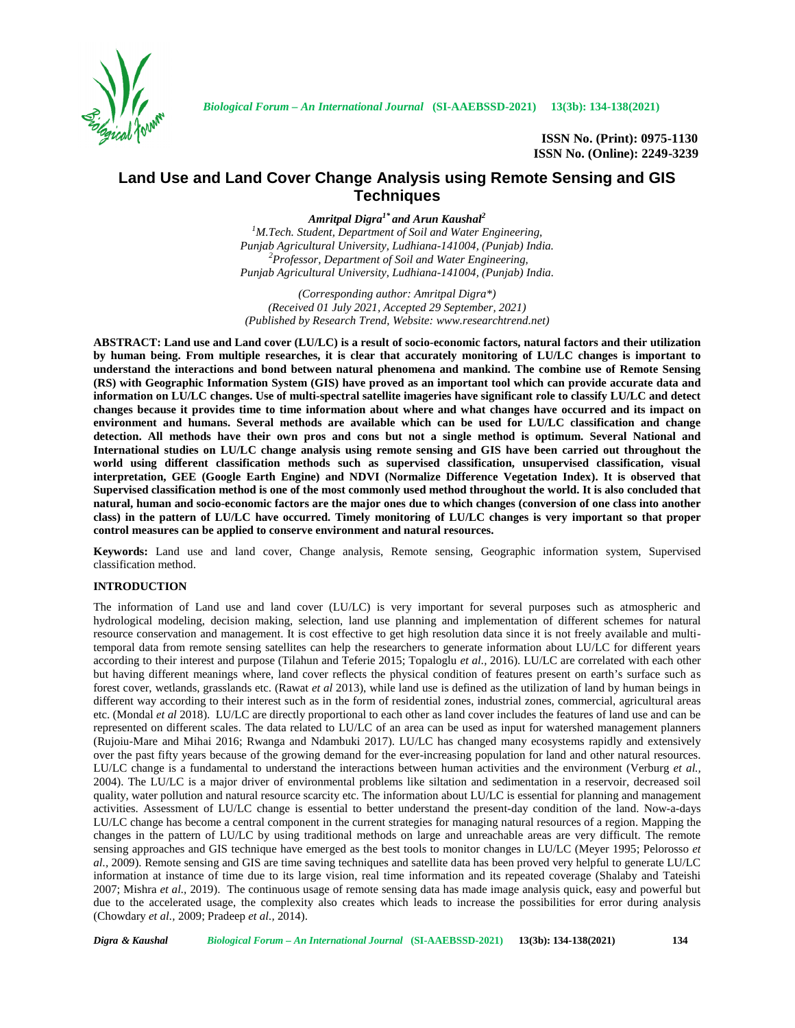

**ISSN No. (Print): 0975-1130 ISSN No. (Online): 2249-3239**

## **Land Use and Land Cover Change Analysis using Remote Sensing and GIS Techniques**

*Amritpal Digra1\* and Arun Kaushal<sup>2</sup>*

*<sup>1</sup>M.Tech. Student, Department of Soil and Water Engineering, Punjab Agricultural University, Ludhiana-141004, (Punjab) India. <sup>2</sup>Professor, Department of Soil and Water Engineering, Punjab Agricultural University, Ludhiana-141004, (Punjab) India.*

*(Corresponding author: Amritpal Digra\*) (Received 01 July 2021, Accepted 29 September, 2021) (Published by Research Trend, Website: <www.researchtrend.net>)*

**ABSTRACT: Land use and Land cover (LU/LC) is a result of socio-economic factors, natural factors and their utilization by human being. From multiple researches, it is clear that accurately monitoring of LU/LC changes is important to understand the interactions and bond between natural phenomena and mankind. The combine use of Remote Sensing (RS) with Geographic Information System (GIS) have proved as an important tool which can provide accurate data and information on LU/LC changes. Use of multi-spectral satellite imageries have significant role to classify LU/LC and detect changes because it provides time to time information about where and what changes have occurred and its impact on environment and humans. Several methods are available which can be used for LU/LC classification and change detection. All methods have their own pros and cons but not a single method is optimum. Several National and International studies on LU/LC change analysis using remote sensing and GIS have been carried out throughout the world using different classification methods such as supervised classification, unsupervised classification, visual interpretation, GEE (Google Earth Engine) and NDVI (Normalize Difference Vegetation Index). It is observed that Supervised classification method is one of the most commonly used method throughout the world. It is also concluded that natural, human and socio-economic factors are the major ones due to which changes (conversion of one class into another class) in the pattern of LU/LC have occurred. Timely monitoring of LU/LC changes is very important so that proper control measures can be applied to conserve environment and natural resources.**

**Keywords:** Land use and land cover, Change analysis, Remote sensing, Geographic information system, Supervised classification method.

## **INTRODUCTION**

The information of Land use and land cover (LU/LC) is very important for several purposes such as atmospheric and hydrological modeling, decision making, selection, land use planning and implementation of different schemes for natural resource conservation and management. It is cost effective to get high resolution data since it is not freely available and multitemporal data from remote sensing satellites can help the researchers to generate information about LU/LC for different years according to their interest and purpose (Tilahun and Teferie 2015; Topaloglu *et al.,* 2016). LU/LC are correlated with each other but having different meanings where, land cover reflects the physical condition of features present on earth's surface such as forest cover, wetlands, grasslands etc. (Rawat *et al* 2013), while land use is defined as the utilization of land by human beings in different way according to their interest such as in the form of residential zones, industrial zones, commercial, agricultural areas etc. (Mondal *et al* 2018). LU/LC are directly proportional to each other as land cover includes the features of land use and can be represented on different scales. The data related to LU/LC of an area can be used as input for watershed management planners (Rujoiu-Mare and Mihai 2016; Rwanga and Ndambuki 2017). LU/LC has changed many ecosystems rapidly and extensively over the past fifty years because of the growing demand for the ever-increasing population for land and other natural resources. LU/LC change is a fundamental to understand the interactions between human activities and the environment (Verburg *et al.,* 2004). The LU/LC is a major driver of environmental problems like siltation and sedimentation in a reservoir, decreased soil quality, water pollution and natural resource scarcity etc. The information about LU/LC is essential for planning and management activities. Assessment of LU/LC change is essential to better understand the present-day condition of the land. Now-a-days LU/LC change has become a central component in the current strategies for managing natural resources of a region. Mapping the changes in the pattern of LU/LC by using traditional methods on large and unreachable areas are very difficult. The remote sensing approaches and GIS technique have emerged as the best tools to monitor changes in LU/LC (Meyer 1995; Pelorosso *et al.,* 2009). Remote sensing and GIS are time saving techniques and satellite data has been proved very helpful to generate LU/LC information at instance of time due to its large vision, real time information and its repeated coverage (Shalaby and Tateishi 2007; Mishra *et al.,* 2019). The continuous usage of remote sensing data has made image analysis quick, easy and powerful but due to the accelerated usage, the complexity also creates which leads to increase the possibilities for error during analysis (Chowdary *et al.,* 2009; Pradeep *et al.,* 2014).

*Digra* & *Kaushal Biological Forum - An International Journal* **(SI-AAEBSSD-2021) 13(3b): 134-138(2021) 134**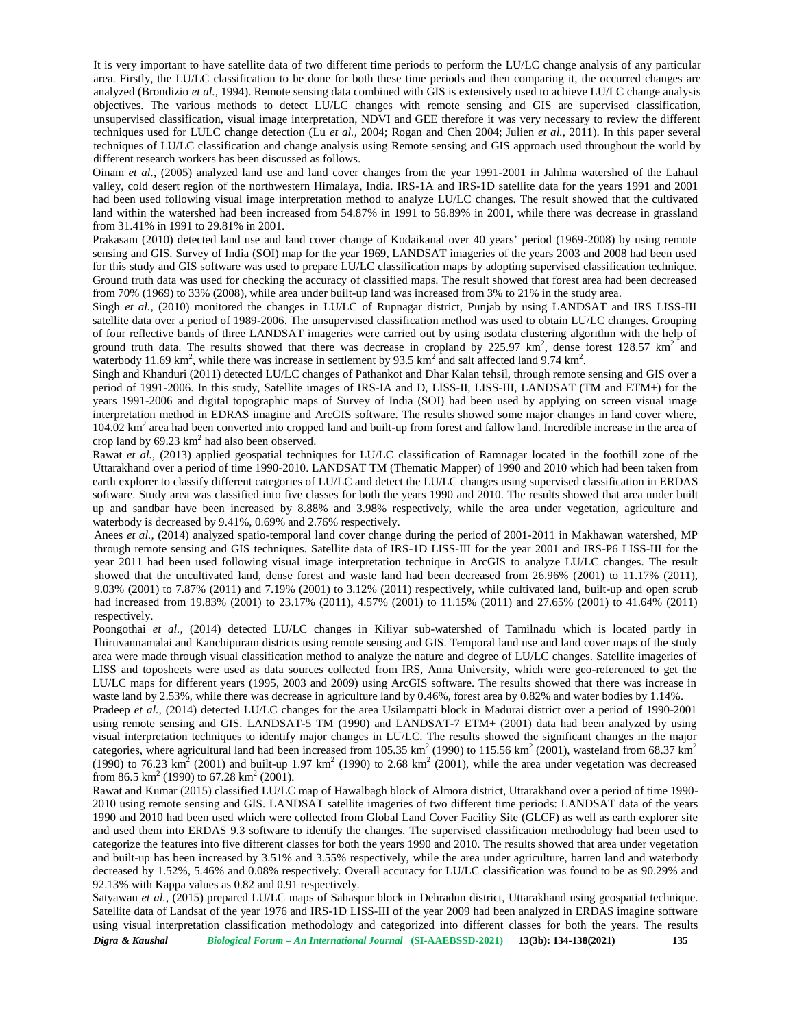It is very important to have satellite data of two different time periods to perform the LU/LC change analysis of any particular area. Firstly, the LU/LC classification to be done for both these time periods and then comparing it, the occurred changes are analyzed (Brondizio *et al.,* 1994). Remote sensing data combined with GIS is extensively used to achieve LU/LC change analysis objectives. The various methods to detect LU/LC changes with remote sensing and GIS are supervised classification, unsupervised classification, visual image interpretation, NDVI and GEE therefore it was very necessary to review the different techniques used for LULC change detection (Lu *et al.,* 2004; Rogan and Chen 2004; Julien *et al.,* 2011). In this paper several techniques of LU/LC classification and change analysis using Remote sensing and GIS approach used throughout the world by different research workers has been discussed as follows.

Oinam *et al.,* (2005) analyzed land use and land cover changes from the year 1991-2001 in Jahlma watershed of the Lahaul valley, cold desert region of the northwestern Himalaya, India. IRS-1A and IRS-1D satellite data for the years 1991 and 2001 had been used following visual image interpretation method to analyze LU/LC changes. The result showed that the cultivated land within the watershed had been increased from 54.87% in 1991 to 56.89% in 2001, while there was decrease in grassland from 31.41% in 1991 to 29.81% in 2001.

Prakasam (2010) detected land use and land cover change of Kodaikanal over 40 years' period (1969-2008) by using remote sensing and GIS. Survey of India (SOI) map for the year 1969, LANDSAT imageries of the years 2003 and 2008 had been used for this study and GIS software was used to prepare LU/LC classification maps by adopting supervised classification technique. Ground truth data was used for checking the accuracy of classified maps. The result showed that forest area had been decreased from 70% (1969) to 33% (2008), while area under built-up land was increased from 3% to 21% in the study area.

Singh *et al.*, (2010) monitored the changes in LU/LC of Rupnagar district, Punjab by using LANDSAT and IRS LISS-III satellite data over a period of 1989-2006. The unsupervised classification method was used to obtain LU/LC changes. Grouping of four reflective bands of three LANDSAT imageries were carried out by using isodata clustering algorithm with the help of ground truth data. The results showed that there was decrease in cropland by 225.97  $km^2$ , dense forest 128.57  $km^2$  and waterbody 11.69 km<sup>2</sup>, while there was increase in settlement by 93.5 km<sup>2</sup> and salt affected land 9.74 km<sup>2</sup>.

Singh and Khanduri (2011) detected LU/LC changes of Pathankot and Dhar Kalan tehsil, through remote sensing and GIS over a period of 1991-2006. In this study, Satellite images of IRS-IA and D, LISS-II, LISS-III, LANDSAT (TM and ETM+) for the years 1991-2006 and digital topographic maps of Survey of India (SOI) had been used by applying on screen visual image interpretation method in EDRAS imagine and ArcGIS software. The results showed some major changes in land cover where, 104.02 km<sup>2</sup> area had been converted into cropped land and built-up from forest and fallow land. Incredible increase in the area of crop land by  $69.23 \text{ km}^2$  had also been observed.

Rawat *et al.,* (2013) applied geospatial techniques for LU/LC classification of Ramnagar located in the foothill zone of the Uttarakhand over a period of time 1990-2010. LANDSAT TM (Thematic Mapper) of 1990 and 2010 which had been taken from earth explorer to classify different categories of LU/LC and detect the LU/LC changes using supervised classification in ERDAS software. Study area was classified into five classes for both the years 1990 and 2010. The results showed that area under built up and sandbar have been increased by 8.88% and 3.98% respectively, while the area under vegetation, agriculture and waterbody is decreased by 9.41%, 0.69% and 2.76% respectively.

Anees *et al.,* (2014) analyzed spatio-temporal land cover change during the period of 2001-2011 in Makhawan watershed, MP through remote sensing and GIS techniques. Satellite data of IRS-1D LISS-III for the year 2001 and IRS-P6 LISS-III for the year 2011 had been used following visual image interpretation technique in ArcGIS to analyze LU/LC changes. The result showed that the uncultivated land, dense forest and waste land had been decreased from 26.96% (2001) to 11.17% (2011), 9.03% (2001) to 7.87% (2011) and 7.19% (2001) to 3.12% (2011) respectively, while cultivated land, built-up and open scrub had increased from 19.83% (2001) to 23.17% (2011), 4.57% (2001) to 11.15% (2011) and 27.65% (2001) to 41.64% (2011) respectively.

Poongothai *et al.,* (2014) detected LU/LC changes in Kiliyar sub-watershed of Tamilnadu which is located partly in Thiruvannamalai and Kanchipuram districts using remote sensing and GIS. Temporal land use and land cover maps of the study area were made through visual classification method to analyze the nature and degree of LU/LC changes. Satellite imageries of LISS and toposheets were used as data sources collected from IRS, Anna University, which were geo-referenced to get the LU/LC maps for different years (1995, 2003 and 2009) using ArcGIS software. The results showed that there was increase in waste land by 2.53%, while there was decrease in agriculture land by 0.46%, forest area by 0.82% and water bodies by 1.14%.

Pradeep *et al.,* (2014) detected LU/LC changes for the area Usilampatti block in Madurai district over a period of 1990-2001 using remote sensing and GIS. LANDSAT-5 TM (1990) and LANDSAT-7 ETM+ (2001) data had been analyzed by using visual interpretation techniques to identify major changes in LU/LC. The results showed the significant changes in the major categories, where agricultural land had been increased from 105.35 km<sup>2</sup> (1990) to 115.56 km<sup>2</sup> (2001), wasteland from 68.37 km<sup>2</sup> (1990) to 76.23 km<sup>2</sup> (2001) and built-up 1.97 km<sup>2</sup> (1990) to 2.68 km<sup>2</sup> (2001), while the area under vegetation was decreased from 86.5 km<sup>2</sup> (1990) to 67.28 km<sup>2</sup> (2001).

Rawat and Kumar (2015) classified LU/LC map of Hawalbagh block of Almora district, Uttarakhand over a period of time 1990- 2010 using remote sensing and GIS. LANDSAT satellite imageries of two different time periods: LANDSAT data of the years 1990 and 2010 had been used which were collected from Global Land Cover Facility Site (GLCF) as well as earth explorer site and used them into ERDAS 9.3 software to identify the changes. The supervised classification methodology had been used to categorize the features into five different classes for both the years 1990 and 2010. The results showed that area under vegetation and built-up has been increased by 3.51% and 3.55% respectively, while the area under agriculture, barren land and waterbody decreased by 1.52%, 5.46% and 0.08% respectively. Overall accuracy for LU/LC classification was found to be as 90.29% and 92.13% with Kappa values as 0.82 and 0.91 respectively.

Satyawan *et al.,* (2015) prepared LU/LC maps of Sahaspur block in Dehradun district, Uttarakhand using geospatial technique. Satellite data of Landsat of the year 1976 and IRS-1D LISS-III of the year 2009 had been analyzed in ERDAS imagine software using visual interpretation classification methodology and categorized into different classes for both the years. The results

*Digra & Kaushal Biological Forum - An International Journal* **(SI-AAEBSSD-2021) 13(3b): 134-138(2021) 135**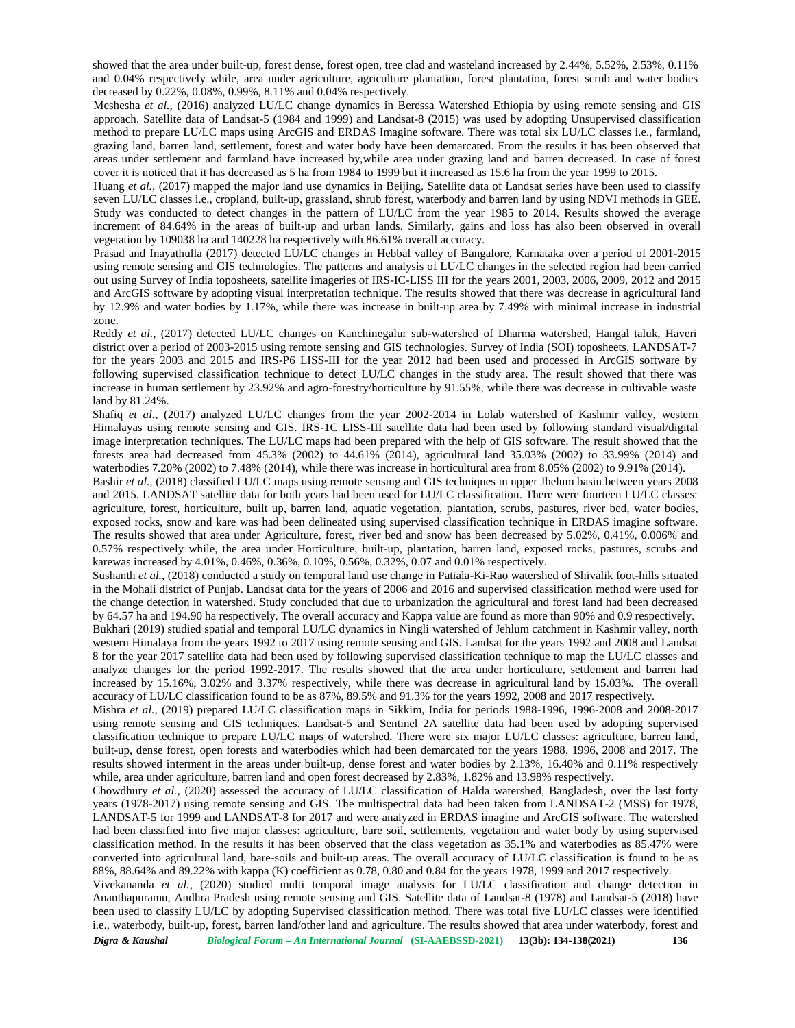showed that the area under built-up, forest dense, forest open, tree clad and wasteland increased by 2.44%, 5.52%, 2.53%, 0.11% and 0.04% respectively while, area under agriculture, agriculture plantation, forest plantation, forest scrub and water bodies decreased by 0.22%, 0.08%, 0.99%, 8.11% and 0.04% respectively.

Meshesha *et al.,* (2016) analyzed LU/LC change dynamics in Beressa Watershed Ethiopia by using remote sensing and GIS approach. Satellite data of Landsat-5 (1984 and 1999) and Landsat-8 (2015) was used by adopting Unsupervised classification method to prepare LU/LC maps using ArcGIS and ERDAS Imagine software. There was total six LU/LC classes i.e., farmland, grazing land, barren land, settlement, forest and water body have been demarcated. From the results it has been observed that areas under settlement and farmland have increased by,while area under grazing land and barren decreased. In case of forest cover it is noticed that it has decreased as 5 ha from 1984 to 1999 but it increased as 15.6 ha from the year 1999 to 2015.

Huang *et al.,* (2017) mapped the major land use dynamics in Beijing. Satellite data of Landsat series have been used to classify seven LU/LC classes i.e., cropland, built-up, grassland, shrub forest, waterbody and barren land by using NDVI methods in GEE. Study was conducted to detect changes in the pattern of LU/LC from the year 1985 to 2014. Results showed the average increment of 84.64% in the areas of built-up and urban lands. Similarly, gains and loss has also been observed in overall vegetation by 109038 ha and 140228 ha respectively with 86.61% overall accuracy.

Prasad and Inayathulla (2017) detected LU/LC changes in Hebbal valley of Bangalore, Karnataka over a period of 2001-2015 using remote sensing and GIS technologies. The patterns and analysis of LU/LC changes in the selected region had been carried out using Survey of India toposheets, satellite imageries of IRS-IC-LISS III for the years 2001, 2003, 2006, 2009, 2012 and 2015 and ArcGIS software by adopting visual interpretation technique. The results showed that there was decrease in agricultural land by 12.9% and water bodies by 1.17%, while there was increase in built-up area by 7.49% with minimal increase in industrial zone.

Reddy *et al.,* (2017) detected LU/LC changes on Kanchinegalur sub-watershed of Dharma watershed, Hangal taluk, Haveri district over a period of 2003-2015 using remote sensing and GIS technologies. Survey of India (SOI) toposheets, LANDSAT-7 for the years 2003 and 2015 and IRS-P6 LISS-III for the year 2012 had been used and processed in ArcGIS software by following supervised classification technique to detect LU/LC changes in the study area. The result showed that there was increase in human settlement by 23.92% and agro-forestry/horticulture by 91.55%, while there was decrease in cultivable waste land by 81.24%.

Shafiq *et al.,* (2017) analyzed LU/LC changes from the year 2002-2014 in Lolab watershed of Kashmir valley, western Himalayas using remote sensing and GIS. IRS-1C LISS-III satellite data had been used by following standard visual/digital image interpretation techniques. The LU/LC maps had been prepared with the help of GIS software. The result showed that the forests area had decreased from 45.3% (2002) to 44.61% (2014), agricultural land 35.03% (2002) to 33.99% (2014) and waterbodies 7.20% (2002) to 7.48% (2014), while there was increase in horticultural area from 8.05% (2002) to 9.91% (2014).

Bashir *et al.,* (2018) classified LU/LC maps using remote sensing and GIS techniques in upper Jhelum basin between years 2008 and 2015. LANDSAT satellite data for both years had been used for LU/LC classification. There were fourteen LU/LC classes: agriculture, forest, horticulture, built up, barren land, aquatic vegetation, plantation, scrubs, pastures, river bed, water bodies, exposed rocks, snow and kare was had been delineated using supervised classification technique in ERDAS imagine software. The results showed that area under Agriculture, forest, river bed and snow has been decreased by 5.02%, 0.41%, 0.006% and 0.57% respectively while, the area under Horticulture, built-up, plantation, barren land, exposed rocks, pastures, scrubs and karewas increased by 4.01%, 0.46%, 0.36%, 0.10%, 0.56%, 0.32%, 0.07 and 0.01% respectively.

Sushanth *et al.*, (2018) conducted a study on temporal land use change in Patiala-Ki-Rao watershed of Shivalik foot-hills situated in the Mohali district of Punjab. Landsat data for the years of 2006 and 2016 and supervised classification method were used for the change detection in watershed. Study concluded that due to urbanization the agricultural and forest land had been decreased by 64.57 ha and 194.90 ha respectively. The overall accuracy and Kappa value are found as more than 90% and 0.9 respectively. Bukhari (2019) studied spatial and temporal LU/LC dynamics in Ningli watershed of Jehlum catchment in Kashmir valley, north western Himalaya from the years 1992 to 2017 using remote sensing and GIS. Landsat for the years 1992 and 2008 and Landsat 8 for the year 2017 satellite data had been used by following supervised classification technique to map the LU/LC classes and analyze changes for the period 1992-2017. The results showed that the area under horticulture, settlement and barren had increased by 15.16%, 3.02% and 3.37% respectively, while there was decrease in agricultural land by 15.03%. The overall accuracy of LU/LC classification found to be as 87%, 89.5% and 91.3% for the years 1992, 2008 and 2017 respectively.

Mishra *et al.,* (2019) prepared LU/LC classification maps in Sikkim, India for periods 1988-1996, 1996-2008 and 2008-2017 using remote sensing and GIS techniques. Landsat-5 and Sentinel 2A satellite data had been used by adopting supervised classification technique to prepare LU/LC maps of watershed. There were six major LU/LC classes: agriculture, barren land, built-up, dense forest, open forests and waterbodies which had been demarcated for the years 1988, 1996, 2008 and 2017. The results showed interment in the areas under built-up, dense forest and water bodies by 2.13%, 16.40% and 0.11% respectively while, area under agriculture, barren land and open forest decreased by 2.83%, 1.82% and 13.98% respectively.

Chowdhury *et al.,* (2020) assessed the accuracy of LU/LC classification of Halda watershed, Bangladesh, over the last forty years (1978-2017) using remote sensing and GIS. The multispectral data had been taken from LANDSAT-2 (MSS) for 1978, LANDSAT-5 for 1999 and LANDSAT-8 for 2017 and were analyzed in ERDAS imagine and ArcGIS software. The watershed had been classified into five major classes: agriculture, bare soil, settlements, vegetation and water body by using supervised classification method. In the results it has been observed that the class vegetation as 35.1% and waterbodies as 85.47% were converted into agricultural land, bare-soils and built-up areas. The overall accuracy of LU/LC classification is found to be as 88%, 88.64% and 89.22% with kappa (K) coefficient as 0.78, 0.80 and 0.84 for the years 1978, 1999 and 2017 respectively.

Vivekananda *et al.,* (2020) studied multi temporal image analysis for LU/LC classification and change detection in Ananthapuramu, Andhra Pradesh using remote sensing and GIS. Satellite data of Landsat-8 (1978) and Landsat-5 (2018) have been used to classify LU/LC by adopting Supervised classification method. There was total five LU/LC classes were identified i.e., waterbody, built-up, forest, barren land/other land and agriculture. The results showed that area under waterbody, forest and

*Digra* & *Kaushal Biological Forum - An International Journal* **(SI-AAEBSSD-2021) 13(3b): 134-138(2021) 136**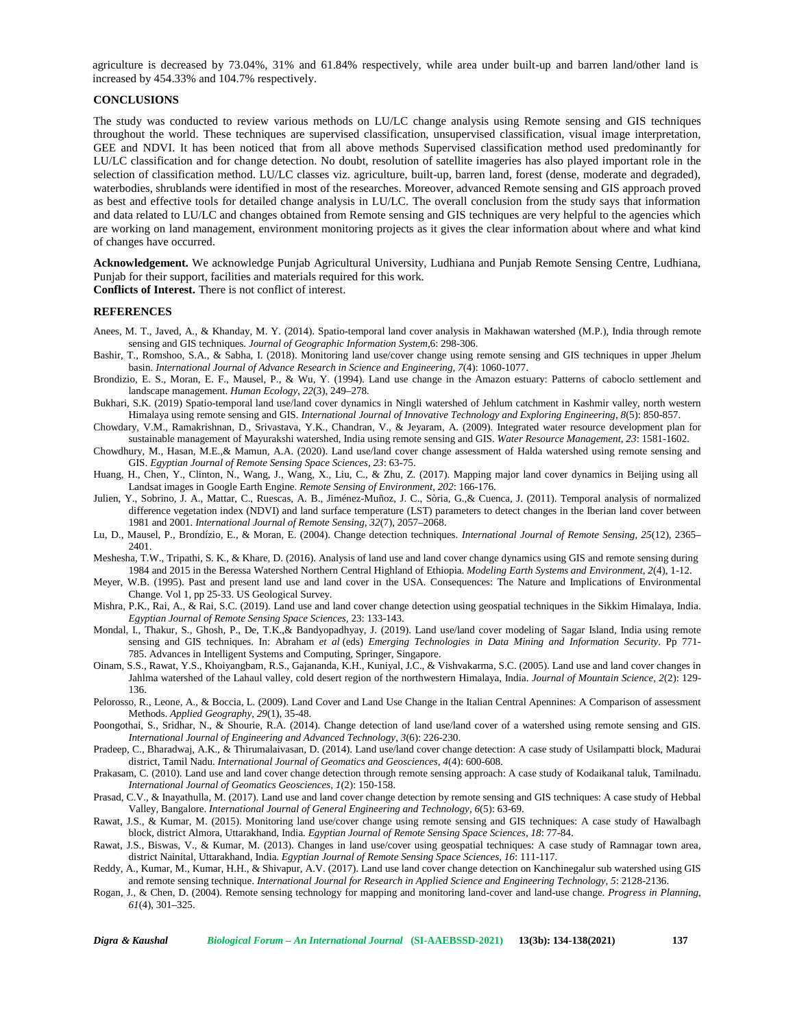agriculture is decreased by 73.04%, 31% and 61.84% respectively, while area under built-up and barren land/other land is increased by 454.33% and 104.7% respectively.

## **CONCLUSIONS**

The study was conducted to review various methods on LU/LC change analysis using Remote sensing and GIS techniques throughout the world. These techniques are supervised classification, unsupervised classification, visual image interpretation, GEE and NDVI. It has been noticed that from all above methods Supervised classification method used predominantly for LU/LC classification and for change detection. No doubt, resolution of satellite imageries has also played important role in the selection of classification method. LU/LC classes viz. agriculture, built-up, barren land, forest (dense, moderate and degraded), waterbodies, shrublands were identified in most of the researches. Moreover, advanced Remote sensing and GIS approach proved as best and effective tools for detailed change analysis in LU/LC. The overall conclusion from the study says that information and data related to LU/LC and changes obtained from Remote sensing and GIS techniques are very helpful to the agencies which are working on land management, environment monitoring projects as it gives the clear information about where and what kind of changes have occurred.

**Acknowledgement.** We acknowledge Punjab Agricultural University, Ludhiana and Punjab Remote Sensing Centre, Ludhiana, Punjab for their support, facilities and materials required for this work. **Conflicts of Interest.** There is not conflict of interest.

## **REFERENCES**

- Anees, M. T., Javed, A., & Khanday, M. Y. (2014). Spatio-temporal land cover analysis in Makhawan watershed (M.P.), India through remote sensing and GIS techniques. *Journal of Geographic Information System,*6: 298-306.
- Bashir, T., Romshoo, S.A., & Sabha, I. (2018). Monitoring land use/cover change using remote sensing and GIS techniques in upper Jhelum basin. *International Journal of Advance Research in Science and Engineering, 7*(4): 1060-1077.
- Brondizio, E. S., Moran, E. F., Mausel, P., & Wu, Y. (1994). Land use change in the Amazon estuary: Patterns of caboclo settlement and landscape management. *Human Ecology*, *22*(3), 249–278.
- Bukhari, S.K. (2019) Spatio-temporal land use/land cover dynamics in Ningli watershed of Jehlum catchment in Kashmir valley, north western Himalaya using remote sensing and GIS. *International Journal of Innovative Technology and Exploring Engineering, 8*(5): 850-857.
- Chowdary, V.M., Ramakrishnan, D., Srivastava, Y.K., Chandran, V., & Jeyaram,A. (2009). Integrated water resource development plan for sustainable management of Mayurakshi watershed, India using remote sensing and GIS. *Water Resource Management, 23*: 1581-1602.
- Chowdhury, M., Hasan, M.E.,& Mamun, A.A. (2020). Land use/land cover change assessment of Halda watershed using remote sensing and GIS. *Egyptian Journal of Remote Sensing Space Sciences, 23*: 63-75.
- Huang, H., Chen, Y., Clinton, N., Wang, J., Wang, X., Liu, C., & Zhu, Z. (2017). Mapping major land cover dynamics in Beijing using all Landsat images in Google Earth Engine. *Remote Sensing of Environment*, *202*: 166-176.
- Julien, Y., Sobrino, J. A., Mattar, C., Ruescas, A. B., Jiménez-Muñoz, J. C., Sòria, G.,& Cuenca, J. (2011). Temporal analysis of normalized difference vegetation index (NDVI) and land surface temperature (LST) parameters to detect changes in the Iberian land cover between 1981 and 2001. *International Journal of Remote Sensing*, *32*(7), 2057–2068.
- Lu, D., Mausel, P., Brondízio, E., & Moran, E. (2004). Change detection techniques. *International Journal of Remote Sensing*, *25*(12), 2365– 2401.
- Meshesha, T.W., Tripathi, S. K., & Khare, D. (2016). Analysis of land use and land cover change dynamics using GIS and remote sensing during 1984 and 2015 in the Beressa Watershed Northern Central Highland of Ethiopia. *Modeling Earth Systems and Environment*, *2*(4), 1-12.
- Meyer, W.B. (1995). Past and present land use and land cover in the USA. Consequences: The Nature and Implications of Environmental Change. Vol 1, pp 25-33. US Geological Survey.
- Mishra, P.K., Rai, A., & Rai, S.C. (2019). Land use and land cover change detection using geospatial techniques in the Sikkim Himalaya, India. *Egyptian Journal of Remote Sensing Space Sciences,* 23: 133-143.
- Mondal, I., Thakur, S., Ghosh, P., De, T.K.,& Bandyopadhyay, J. (2019). Land use/land cover modeling of Sagar Island, India using remote sensing and GIS techniques. In: Abraham *et al* (eds) *Emerging Technologies in Data Mining and Information Security*. Pp 771- 785. Advances in Intelligent Systems and Computing, Springer, Singapore.
- Oinam, S.S., Rawat, Y.S., Khoiyangbam, R.S., Gajananda, K.H., Kuniyal, J.C., & Vishvakarma, S.C. (2005). Land use and land cover changes in Jahlma watershed of the Lahaul valley, cold desert region of the northwestern Himalaya, India. *Journal of Mountain Science, 2*(2): 129- 136.
- Pelorosso, R., Leone, A., & Boccia, L. (2009). Land Cover and Land Use Change in the Italian Central Apennines: A Comparison of assessment Methods. *Applied Geography*, *29*(1), 35-48.

Poongothai, S., Sridhar, N., & Shourie, R.A. (2014). Change detection of land use/land cover of a watershed using remote sensing and GIS. *International Journal of Engineering and Advanced Technology, 3*(6): 226-230.

- Pradeep, C., Bharadwaj, A.K., & Thirumalaivasan, D. (2014). Land use/land cover change detection: A case study of Usilampatti block, Madurai district, Tamil Nadu. *International Journal of Geomatics and Geosciences, 4*(4): 600-608.
- Prakasam, C. (2010). Land use and land cover change detection through remote sensing approach: A case study of Kodaikanal taluk, Tamilnadu. *International Journal of Geomatics Geosciences, 1*(2): 150-158.
- Prasad, C.V., & Inayathulla, M. (2017). Land use and land cover change detection by remote sensing and GIS techniques: A case study of Hebbal Valley, Bangalore. *International Journal of General Engineering and Technology, 6*(5): 63-69.
- Rawat, J.S., & Kumar, M. (2015). Monitoring land use/cover change using remote sensing and GIS techniques: A case study of Hawalbagh block, district Almora, Uttarakhand, India. *Egyptian Journal of Remote Sensing Space Sciences, 18*: 77-84.
- Rawat, J.S., Biswas, V., & Kumar, M. (2013). Changes in land use/cover using geospatial techniques: A case study of Ramnagar town area, district Nainital, Uttarakhand, India. *Egyptian Journal of Remote Sensing Space Sciences, 16*: 111-117.
- Reddy, A., Kumar, M., Kumar, H.H., & Shivapur, A.V. (2017). Land use land cover change detection on Kanchinegalur sub watershed using GIS and remote sensing technique. *International Journal for Research in Applied Science and Engineering Technology, 5*: 2128-2136.
- Rogan, J., & Chen, D. (2004). Remote sensing technology for mapping and monitoring land-cover and land-use change. *Progress in Planning*, *61*(4), 301–325.